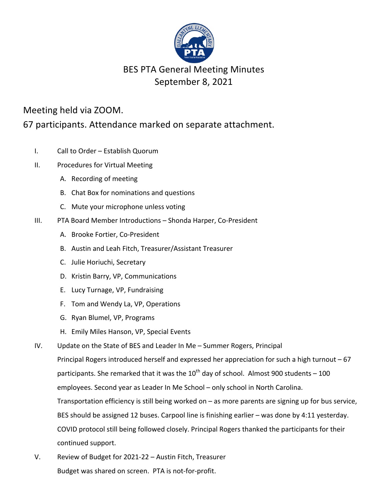

## **BES PTA General Meeting Minutes** September 8, 2021

## Meeting held via ZOOM.

67 participants. Attendance marked on separate attachment.

- I. Call to Order Establish Quorum
- II. Procedures for Virtual Meeting
	- A. Recording of meeting
	- B. Chat Box for nominations and questions
	- C. Mute your microphone unless voting
- III. PTA Board Member Introductions Shonda Harper, Co-President
	- A. Brooke Fortier, Co-President
	- B. Austin and Leah Fitch, Treasurer/Assistant Treasurer
	- C. Julie Horiuchi, Secretary
	- D. Kristin Barry, VP, Communications
	- E. Lucy Turnage, VP, Fundraising
	- F. Tom and Wendy La, VP, Operations
	- G. Ryan Blumel, VP, Programs
	- H. Emily Miles Hanson, VP, Special Events
- IV. Update on the State of BES and Leader In Me Summer Rogers, Principal Principal Rogers introduced herself and expressed her appreciation for such a high turnout  $-67$ participants. She remarked that it was the  $10^{th}$  day of school. Almost 900 students – 100 employees. Second year as Leader In Me School – only school in North Carolina. Transportation efficiency is still being worked on  $-$  as more parents are signing up for bus service, BES should be assigned 12 buses. Carpool line is finishing earlier – was done by 4:11 yesterday. COVID protocol still being followed closely. Principal Rogers thanked the participants for their continued support.
- V. Review of Budget for 2021-22 Austin Fitch, Treasurer Budget was shared on screen. PTA is not-for-profit.